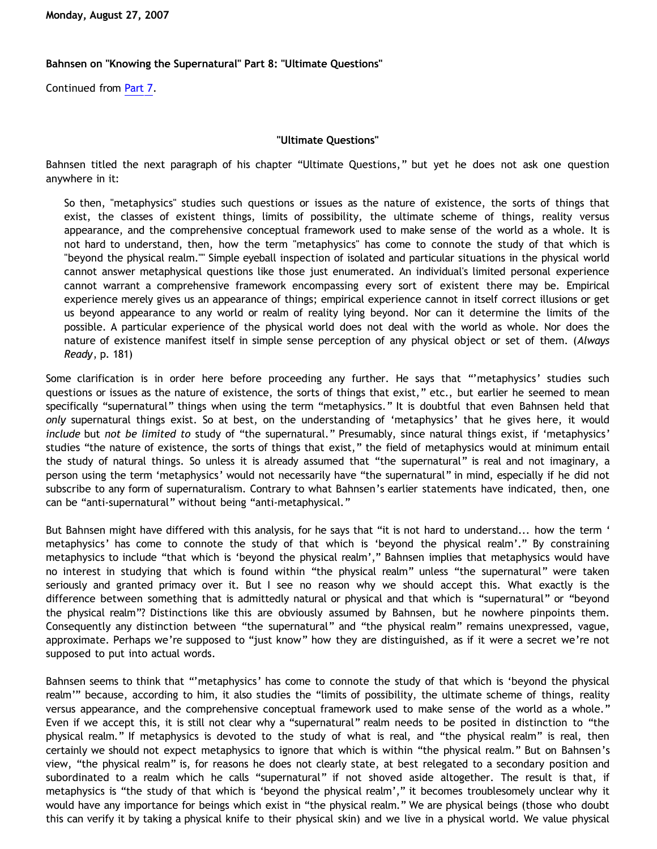## **Bahnsen on "Knowing the Supernatural" Part 8: "Ultimate Questions"**

Continued from [Part 7.](http://bahnsenburner.blogspot.com/2007/08/bahnsen-on-knowing-supernatural-part-7.html)

## **"Ultimate Questions"**

Bahnsen titled the next paragraph of his chapter "Ultimate Questions," but yet he does not ask one question anywhere in it:

So then, "metaphysics" studies such questions or issues as the nature of existence, the sorts of things that exist, the classes of existent things, limits of possibility, the ultimate scheme of things, reality versus appearance, and the comprehensive conceptual framework used to make sense of the world as a whole. It is not hard to understand, then, how the term "metaphysics" has come to connote the study of that which is "beyond the physical realm."" Simple eyeball inspection of isolated and particular situations in the physical world cannot answer metaphysical questions like those just enumerated. An individual's limited personal experience cannot warrant a comprehensive framework encompassing every sort of existent there may be. Empirical experience merely gives us an appearance of things; empirical experience cannot in itself correct illusions or get us beyond appearance to any world or realm of reality lying beyond. Nor can it determine the limits of the possible. A particular experience of the physical world does not deal with the world as whole. Nor does the nature of existence manifest itself in simple sense perception of any physical object or set of them. (*Always Ready*, p. 181)

Some clarification is in order here before proceeding any further. He says that "'metaphysics' studies such questions or issues as the nature of existence, the sorts of things that exist," etc., but earlier he seemed to mean specifically "supernatural" things when using the term "metaphysics." It is doubtful that even Bahnsen held that *only* supernatural things exist. So at best, on the understanding of 'metaphysics' that he gives here, it would *include* but *not be limited to* study of "the supernatural." Presumably, since natural things exist, if 'metaphysics' studies "the nature of existence, the sorts of things that exist," the field of metaphysics would at minimum entail the study of natural things. So unless it is already assumed that "the supernatural" is real and not imaginary, a person using the term 'metaphysics' would not necessarily have "the supernatural" in mind, especially if he did not subscribe to any form of supernaturalism. Contrary to what Bahnsen's earlier statements have indicated, then, one can be "anti-supernatural" without being "anti-metaphysical."

But Bahnsen might have differed with this analysis, for he says that "it is not hard to understand... how the term ' metaphysics' has come to connote the study of that which is 'beyond the physical realm'." By constraining metaphysics to include "that which is 'beyond the physical realm'," Bahnsen implies that metaphysics would have no interest in studying that which is found within "the physical realm" unless "the supernatural" were taken seriously and granted primacy over it. But I see no reason why we should accept this. What exactly is the difference between something that is admittedly natural or physical and that which is "supernatural" or "beyond the physical realm"? Distinctions like this are obviously assumed by Bahnsen, but he nowhere pinpoints them. Consequently any distinction between "the supernatural" and "the physical realm" remains unexpressed, vague, approximate. Perhaps we're supposed to "just know" how they are distinguished, as if it were a secret we're not supposed to put into actual words.

Bahnsen seems to think that "'metaphysics' has come to connote the study of that which is 'beyond the physical realm'" because, according to him, it also studies the "limits of possibility, the ultimate scheme of things, reality versus appearance, and the comprehensive conceptual framework used to make sense of the world as a whole." Even if we accept this, it is still not clear why a "supernatural" realm needs to be posited in distinction to "the physical realm." If metaphysics is devoted to the study of what is real, and "the physical realm" is real, then certainly we should not expect metaphysics to ignore that which is within "the physical realm." But on Bahnsen's view, "the physical realm" is, for reasons he does not clearly state, at best relegated to a secondary position and subordinated to a realm which he calls "supernatural" if not shoved aside altogether. The result is that, if metaphysics is "the study of that which is 'beyond the physical realm'," it becomes troublesomely unclear why it would have any importance for beings which exist in "the physical realm." We are physical beings (those who doubt this can verify it by taking a physical knife to their physical skin) and we live in a physical world. We value physical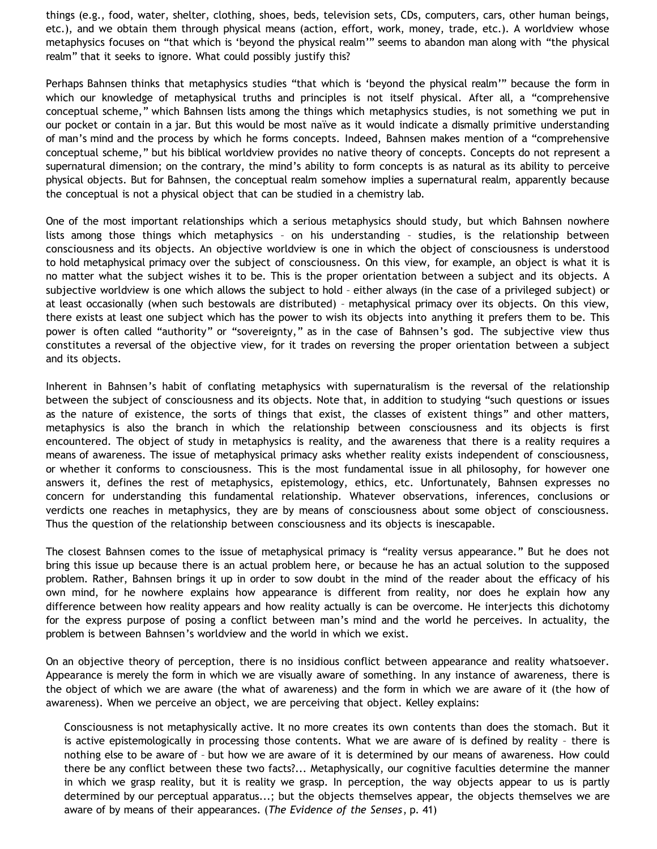things (e.g., food, water, shelter, clothing, shoes, beds, television sets, CDs, computers, cars, other human beings, etc.), and we obtain them through physical means (action, effort, work, money, trade, etc.). A worldview whose metaphysics focuses on "that which is 'beyond the physical realm'" seems to abandon man along with "the physical realm" that it seeks to ignore. What could possibly justify this?

Perhaps Bahnsen thinks that metaphysics studies "that which is 'beyond the physical realm'" because the form in which our knowledge of metaphysical truths and principles is not itself physical. After all, a "comprehensive conceptual scheme," which Bahnsen lists among the things which metaphysics studies, is not something we put in our pocket or contain in a jar. But this would be most naïve as it would indicate a dismally primitive understanding of man's mind and the process by which he forms concepts. Indeed, Bahnsen makes mention of a "comprehensive conceptual scheme," but his biblical worldview provides no native theory of concepts. Concepts do not represent a supernatural dimension; on the contrary, the mind's ability to form concepts is as natural as its ability to perceive physical objects. But for Bahnsen, the conceptual realm somehow implies a supernatural realm, apparently because the conceptual is not a physical object that can be studied in a chemistry lab.

One of the most important relationships which a serious metaphysics should study, but which Bahnsen nowhere lists among those things which metaphysics – on his understanding – studies, is the relationship between consciousness and its objects. An objective worldview is one in which the object of consciousness is understood to hold metaphysical primacy over the subject of consciousness. On this view, for example, an object is what it is no matter what the subject wishes it to be. This is the proper orientation between a subject and its objects. A subjective worldview is one which allows the subject to hold – either always (in the case of a privileged subject) or at least occasionally (when such bestowals are distributed) – metaphysical primacy over its objects. On this view, there exists at least one subject which has the power to wish its objects into anything it prefers them to be. This power is often called "authority" or "sovereignty," as in the case of Bahnsen's god. The subjective view thus constitutes a reversal of the objective view, for it trades on reversing the proper orientation between a subject and its objects.

Inherent in Bahnsen's habit of conflating metaphysics with supernaturalism is the reversal of the relationship between the subject of consciousness and its objects. Note that, in addition to studying "such questions or issues as the nature of existence, the sorts of things that exist, the classes of existent things" and other matters, metaphysics is also the branch in which the relationship between consciousness and its objects is first encountered. The object of study in metaphysics is reality, and the awareness that there is a reality requires a means of awareness. The issue of metaphysical primacy asks whether reality exists independent of consciousness, or whether it conforms to consciousness. This is the most fundamental issue in all philosophy, for however one answers it, defines the rest of metaphysics, epistemology, ethics, etc. Unfortunately, Bahnsen expresses no concern for understanding this fundamental relationship. Whatever observations, inferences, conclusions or verdicts one reaches in metaphysics, they are by means of consciousness about some object of consciousness. Thus the question of the relationship between consciousness and its objects is inescapable.

The closest Bahnsen comes to the issue of metaphysical primacy is "reality versus appearance." But he does not bring this issue up because there is an actual problem here, or because he has an actual solution to the supposed problem. Rather, Bahnsen brings it up in order to sow doubt in the mind of the reader about the efficacy of his own mind, for he nowhere explains how appearance is different from reality, nor does he explain how any difference between how reality appears and how reality actually is can be overcome. He interjects this dichotomy for the express purpose of posing a conflict between man's mind and the world he perceives. In actuality, the problem is between Bahnsen's worldview and the world in which we exist.

On an objective theory of perception, there is no insidious conflict between appearance and reality whatsoever. Appearance is merely the form in which we are visually aware of something. In any instance of awareness, there is the object of which we are aware (the what of awareness) and the form in which we are aware of it (the how of awareness). When we perceive an object, we are perceiving that object. Kelley explains:

Consciousness is not metaphysically active. It no more creates its own contents than does the stomach. But it is active epistemologically in processing those contents. What we are aware of is defined by reality – there is nothing else to be aware of – but how we are aware of it is determined by our means of awareness. How could there be any conflict between these two facts?... Metaphysically, our cognitive faculties determine the manner in which we grasp reality, but it is reality we grasp. In perception, the way objects appear to us is partly determined by our perceptual apparatus...; but the objects themselves appear, the objects themselves we are aware of by means of their appearances. (*The Evidence of the Senses*, p. 41)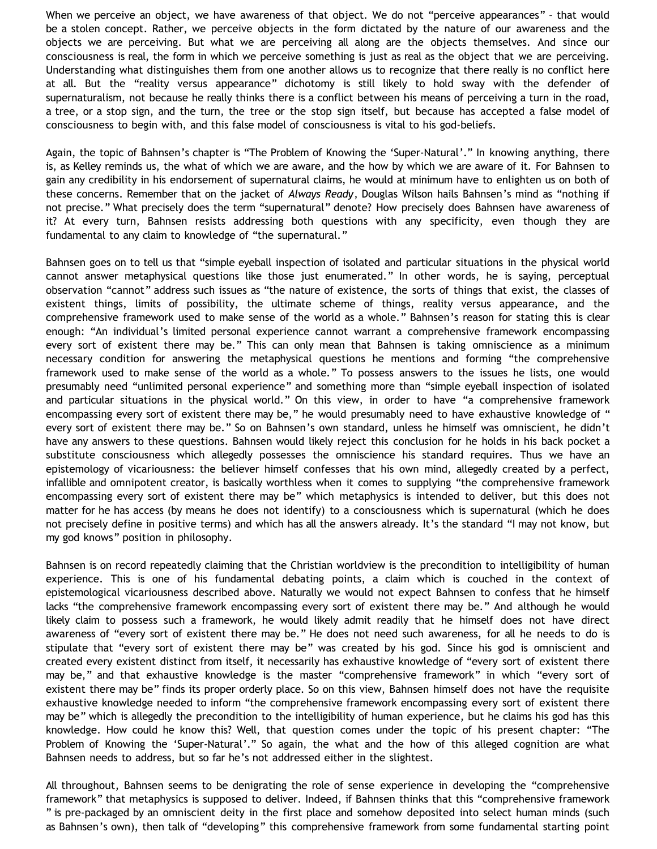When we perceive an object, we have awareness of that object. We do not "perceive appearances" - that would be a stolen concept. Rather, we perceive objects in the form dictated by the nature of our awareness and the objects we are perceiving. But what we are perceiving all along are the objects themselves. And since our consciousness is real, the form in which we perceive something is just as real as the object that we are perceiving. Understanding what distinguishes them from one another allows us to recognize that there really is no conflict here at all. But the "reality versus appearance" dichotomy is still likely to hold sway with the defender of supernaturalism, not because he really thinks there is a conflict between his means of perceiving a turn in the road, a tree, or a stop sign, and the turn, the tree or the stop sign itself, but because has accepted a false model of consciousness to begin with, and this false model of consciousness is vital to his god-beliefs.

Again, the topic of Bahnsen's chapter is "The Problem of Knowing the 'Super-Natural'." In knowing anything, there is, as Kelley reminds us, the what of which we are aware, and the how by which we are aware of it. For Bahnsen to gain any credibility in his endorsement of supernatural claims, he would at minimum have to enlighten us on both of these concerns. Remember that on the jacket of *Always Ready*, Douglas Wilson hails Bahnsen's mind as "nothing if not precise." What precisely does the term "supernatural" denote? How precisely does Bahnsen have awareness of it? At every turn, Bahnsen resists addressing both questions with any specificity, even though they are fundamental to any claim to knowledge of "the supernatural."

Bahnsen goes on to tell us that "simple eyeball inspection of isolated and particular situations in the physical world cannot answer metaphysical questions like those just enumerated." In other words, he is saying, perceptual observation "cannot" address such issues as "the nature of existence, the sorts of things that exist, the classes of existent things, limits of possibility, the ultimate scheme of things, reality versus appearance, and the comprehensive framework used to make sense of the world as a whole." Bahnsen's reason for stating this is clear enough: "An individual's limited personal experience cannot warrant a comprehensive framework encompassing every sort of existent there may be." This can only mean that Bahnsen is taking omniscience as a minimum necessary condition for answering the metaphysical questions he mentions and forming "the comprehensive framework used to make sense of the world as a whole." To possess answers to the issues he lists, one would presumably need "unlimited personal experience" and something more than "simple eyeball inspection of isolated and particular situations in the physical world." On this view, in order to have "a comprehensive framework encompassing every sort of existent there may be," he would presumably need to have exhaustive knowledge of " every sort of existent there may be." So on Bahnsen's own standard, unless he himself was omniscient, he didn't have any answers to these questions. Bahnsen would likely reject this conclusion for he holds in his back pocket a substitute consciousness which allegedly possesses the omniscience his standard requires. Thus we have an epistemology of vicariousness: the believer himself confesses that his own mind, allegedly created by a perfect, infallible and omnipotent creator, is basically worthless when it comes to supplying "the comprehensive framework encompassing every sort of existent there may be" which metaphysics is intended to deliver, but this does not matter for he has access (by means he does not identify) to a consciousness which is supernatural (which he does not precisely define in positive terms) and which has all the answers already. It's the standard "I may not know, but my god knows" position in philosophy.

Bahnsen is on record repeatedly claiming that the Christian worldview is the precondition to intelligibility of human experience. This is one of his fundamental debating points, a claim which is couched in the context of epistemological vicariousness described above. Naturally we would not expect Bahnsen to confess that he himself lacks "the comprehensive framework encompassing every sort of existent there may be." And although he would likely claim to possess such a framework, he would likely admit readily that he himself does not have direct awareness of "every sort of existent there may be." He does not need such awareness, for all he needs to do is stipulate that "every sort of existent there may be" was created by his god. Since his god is omniscient and created every existent distinct from itself, it necessarily has exhaustive knowledge of "every sort of existent there may be," and that exhaustive knowledge is the master "comprehensive framework" in which "every sort of existent there may be" finds its proper orderly place. So on this view, Bahnsen himself does not have the requisite exhaustive knowledge needed to inform "the comprehensive framework encompassing every sort of existent there may be" which is allegedly the precondition to the intelligibility of human experience, but he claims his god has this knowledge. How could he know this? Well, that question comes under the topic of his present chapter: "The Problem of Knowing the 'Super-Natural'." So again, the what and the how of this alleged cognition are what Bahnsen needs to address, but so far he's not addressed either in the slightest.

All throughout, Bahnsen seems to be denigrating the role of sense experience in developing the "comprehensive framework" that metaphysics is supposed to deliver. Indeed, if Bahnsen thinks that this "comprehensive framework " is pre-packaged by an omniscient deity in the first place and somehow deposited into select human minds (such as Bahnsen's own), then talk of "developing" this comprehensive framework from some fundamental starting point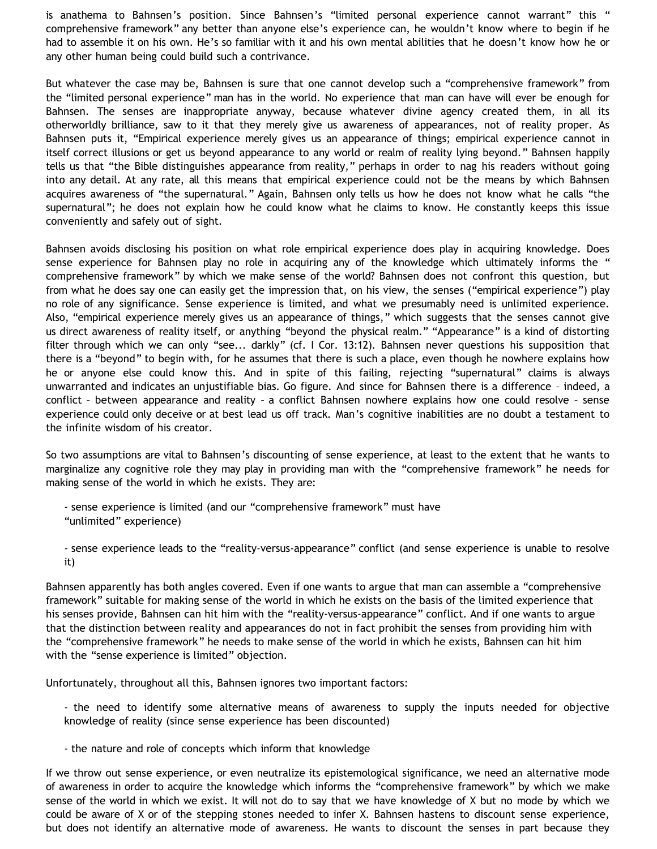is anathema to Bahnsen's position. Since Bahnsen's "limited personal experience cannot warrant" this " comprehensive framework" any better than anyone else's experience can, he wouldn't know where to begin if he had to assemble it on his own. He's so familiar with it and his own mental abilities that he doesn't know how he or any other human being could build such a contrivance.

But whatever the case may be, Bahnsen is sure that one cannot develop such a "comprehensive framework" from the "limited personal experience" man has in the world. No experience that man can have will ever be enough for Bahnsen. The senses are inappropriate anyway, because whatever divine agency created them, in all its otherworldly brilliance, saw to it that they merely give us awareness of appearances, not of reality proper. As Bahnsen puts it, "Empirical experience merely gives us an appearance of things; empirical experience cannot in itself correct illusions or get us beyond appearance to any world or realm of reality lying beyond." Bahnsen happily tells us that "the Bible distinguishes appearance from reality," perhaps in order to nag his readers without going into any detail. At any rate, all this means that empirical experience could not be the means by which Bahnsen acquires awareness of "the supernatural." Again, Bahnsen only tells us how he does not know what he calls "the supernatural"; he does not explain how he could know what he claims to know. He constantly keeps this issue conveniently and safely out of sight.

Bahnsen avoids disclosing his position on what role empirical experience does play in acquiring knowledge. Does sense experience for Bahnsen play no role in acquiring any of the knowledge which ultimately informs the " comprehensive framework" by which we make sense of the world? Bahnsen does not confront this question, but from what he does say one can easily get the impression that, on his view, the senses ("empirical experience") play no role of any significance. Sense experience is limited, and what we presumably need is unlimited experience. Also, "empirical experience merely gives us an appearance of things," which suggests that the senses cannot give us direct awareness of reality itself, or anything "beyond the physical realm." "Appearance" is a kind of distorting filter through which we can only "see... darkly" (cf. I Cor. 13:12). Bahnsen never questions his supposition that there is a "beyond" to begin with, for he assumes that there is such a place, even though he nowhere explains how he or anyone else could know this. And in spite of this failing, rejecting "supernatural" claims is always unwarranted and indicates an unjustifiable bias. Go figure. And since for Bahnsen there is a difference – indeed, a conflict – between appearance and reality – a conflict Bahnsen nowhere explains how one could resolve – sense experience could only deceive or at best lead us off track. Man's cognitive inabilities are no doubt a testament to the infinite wisdom of his creator.

So two assumptions are vital to Bahnsen's discounting of sense experience, at least to the extent that he wants to marginalize any cognitive role they may play in providing man with the "comprehensive framework" he needs for making sense of the world in which he exists. They are:

- sense experience is limited (and our "comprehensive framework" must have "unlimited" experience)

- sense experience leads to the "reality-versus-appearance" conflict (and sense experience is unable to resolve it)

Bahnsen apparently has both angles covered. Even if one wants to argue that man can assemble a "comprehensive framework" suitable for making sense of the world in which he exists on the basis of the limited experience that his senses provide, Bahnsen can hit him with the "reality-versus-appearance" conflict. And if one wants to argue that the distinction between reality and appearances do not in fact prohibit the senses from providing him with the "comprehensive framework" he needs to make sense of the world in which he exists, Bahnsen can hit him with the "sense experience is limited" objection.

Unfortunately, throughout all this, Bahnsen ignores two important factors:

- the need to identify some alternative means of awareness to supply the inputs needed for objective knowledge of reality (since sense experience has been discounted)

- the nature and role of concepts which inform that knowledge

If we throw out sense experience, or even neutralize its epistemological significance, we need an alternative mode of awareness in order to acquire the knowledge which informs the "comprehensive framework" by which we make sense of the world in which we exist. It will not do to say that we have knowledge of X but no mode by which we could be aware of X or of the stepping stones needed to infer X. Bahnsen hastens to discount sense experience, but does not identify an alternative mode of awareness. He wants to discount the senses in part because they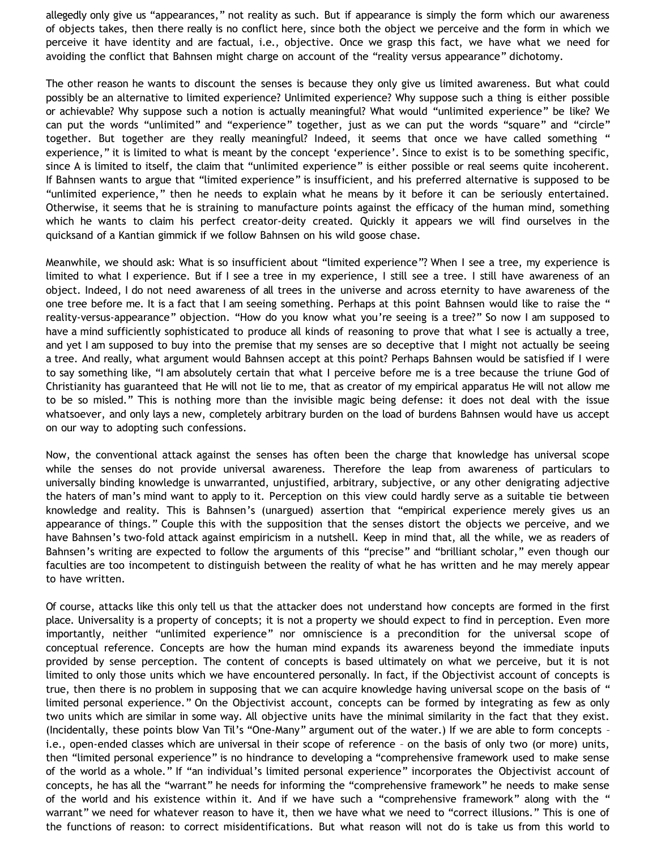allegedly only give us "appearances," not reality as such. But if appearance is simply the form which our awareness of objects takes, then there really is no conflict here, since both the object we perceive and the form in which we perceive it have identity and are factual, i.e., objective. Once we grasp this fact, we have what we need for avoiding the conflict that Bahnsen might charge on account of the "reality versus appearance" dichotomy.

The other reason he wants to discount the senses is because they only give us limited awareness. But what could possibly be an alternative to limited experience? Unlimited experience? Why suppose such a thing is either possible or achievable? Why suppose such a notion is actually meaningful? What would "unlimited experience" be like? We can put the words "unlimited" and "experience" together, just as we can put the words "square" and "circle" together. But together are they really meaningful? Indeed, it seems that once we have called something " experience," it is limited to what is meant by the concept 'experience'. Since to exist is to be something specific, since A is limited to itself, the claim that "unlimited experience" is either possible or real seems quite incoherent. If Bahnsen wants to argue that "limited experience" is insufficient, and his preferred alternative is supposed to be "unlimited experience," then he needs to explain what he means by it before it can be seriously entertained. Otherwise, it seems that he is straining to manufacture points against the efficacy of the human mind, something which he wants to claim his perfect creator-deity created. Quickly it appears we will find ourselves in the quicksand of a Kantian gimmick if we follow Bahnsen on his wild goose chase.

Meanwhile, we should ask: What is so insufficient about "limited experience"? When I see a tree, my experience is limited to what I experience. But if I see a tree in my experience, I still see a tree. I still have awareness of an object. Indeed, I do not need awareness of all trees in the universe and across eternity to have awareness of the one tree before me. It is a fact that I am seeing something. Perhaps at this point Bahnsen would like to raise the " reality-versus-appearance" objection. "How do you know what you're seeing is a tree?" So now I am supposed to have a mind sufficiently sophisticated to produce all kinds of reasoning to prove that what I see is actually a tree, and yet I am supposed to buy into the premise that my senses are so deceptive that I might not actually be seeing a tree. And really, what argument would Bahnsen accept at this point? Perhaps Bahnsen would be satisfied if I were to say something like, "I am absolutely certain that what I perceive before me is a tree because the triune God of Christianity has guaranteed that He will not lie to me, that as creator of my empirical apparatus He will not allow me to be so misled." This is nothing more than the invisible magic being defense: it does not deal with the issue whatsoever, and only lays a new, completely arbitrary burden on the load of burdens Bahnsen would have us accept on our way to adopting such confessions.

Now, the conventional attack against the senses has often been the charge that knowledge has universal scope while the senses do not provide universal awareness. Therefore the leap from awareness of particulars to universally binding knowledge is unwarranted, unjustified, arbitrary, subjective, or any other denigrating adjective the haters of man's mind want to apply to it. Perception on this view could hardly serve as a suitable tie between knowledge and reality. This is Bahnsen's (unargued) assertion that "empirical experience merely gives us an appearance of things." Couple this with the supposition that the senses distort the objects we perceive, and we have Bahnsen's two-fold attack against empiricism in a nutshell. Keep in mind that, all the while, we as readers of Bahnsen's writing are expected to follow the arguments of this "precise" and "brilliant scholar," even though our faculties are too incompetent to distinguish between the reality of what he has written and he may merely appear to have written.

Of course, attacks like this only tell us that the attacker does not understand how concepts are formed in the first place. Universality is a property of concepts; it is not a property we should expect to find in perception. Even more importantly, neither "unlimited experience" nor omniscience is a precondition for the universal scope of conceptual reference. Concepts are how the human mind expands its awareness beyond the immediate inputs provided by sense perception. The content of concepts is based ultimately on what we perceive, but it is not limited to only those units which we have encountered personally. In fact, if the Objectivist account of concepts is true, then there is no problem in supposing that we can acquire knowledge having universal scope on the basis of " limited personal experience." On the Objectivist account, concepts can be formed by integrating as few as only two units which are similar in some way. All objective units have the minimal similarity in the fact that they exist. (Incidentally, these points blow Van Til's "One-Many" argument out of the water.) If we are able to form concepts – i.e., open-ended classes which are universal in their scope of reference – on the basis of only two (or more) units, then "limited personal experience" is no hindrance to developing a "comprehensive framework used to make sense of the world as a whole." If "an individual's limited personal experience" incorporates the Objectivist account of concepts, he has all the "warrant" he needs for informing the "comprehensive framework" he needs to make sense of the world and his existence within it. And if we have such a "comprehensive framework" along with the " warrant" we need for whatever reason to have it, then we have what we need to "correct illusions." This is one of the functions of reason: to correct misidentifications. But what reason will not do is take us from this world to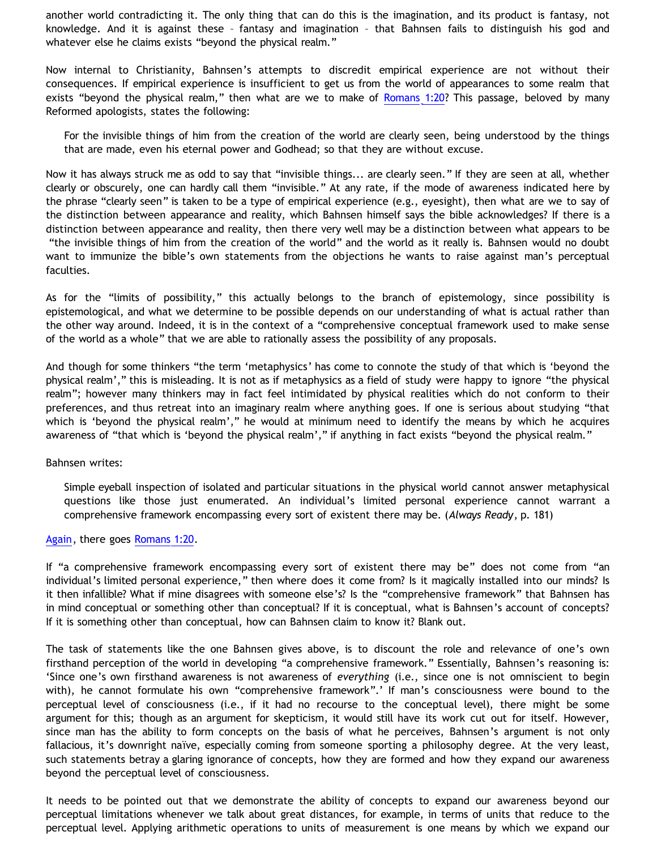another world contradicting it. The only thing that can do this is the imagination, and its product is fantasy, not knowledge. And it is against these – fantasy and imagination – that Bahnsen fails to distinguish his god and whatever else he claims exists "beyond the physical realm."

Now internal to Christianity, Bahnsen's attempts to discredit empirical experience are not without their consequences. If empirical experience is insufficient to get us from the world of appearances to some realm that exists "beyond the physical realm," then what are we to make of [Romans 1:20?](http://www.biblegateway.com/passage/?search=Romans%201:20;&version=9;31;49;51;46;) This passage, beloved by many Reformed apologists, states the following:

For the invisible things of him from the creation of the world are clearly seen, being understood by the things that are made, even his eternal power and Godhead; so that they are without excuse.

Now it has always struck me as odd to say that "invisible things... are clearly seen." If they are seen at all, whether clearly or obscurely, one can hardly call them "invisible." At any rate, if the mode of awareness indicated here by the phrase "clearly seen" is taken to be a type of empirical experience (e.g., eyesight), then what are we to say of the distinction between appearance and reality, which Bahnsen himself says the bible acknowledges? If there is a distinction between appearance and reality, then there very well may be a distinction between what appears to be "the invisible things of him from the creation of the world" and the world as it really is. Bahnsen would no doubt want to immunize the bible's own statements from the objections he wants to raise against man's perceptual faculties.

As for the "limits of possibility," this actually belongs to the branch of epistemology, since possibility is epistemological, and what we determine to be possible depends on our understanding of what is actual rather than the other way around. Indeed, it is in the context of a "comprehensive conceptual framework used to make sense of the world as a whole" that we are able to rationally assess the possibility of any proposals.

And though for some thinkers "the term 'metaphysics' has come to connote the study of that which is 'beyond the physical realm'," this is misleading. It is not as if metaphysics as a field of study were happy to ignore "the physical realm"; however many thinkers may in fact feel intimidated by physical realities which do not conform to their preferences, and thus retreat into an imaginary realm where anything goes. If one is serious about studying "that which is 'beyond the physical realm'," he would at minimum need to identify the means by which he acquires awareness of "that which is 'beyond the physical realm'," if anything in fact exists "beyond the physical realm."

Bahnsen writes:

Simple eyeball inspection of isolated and particular situations in the physical world cannot answer metaphysical questions like those just enumerated. An individual's limited personal experience cannot warrant a comprehensive framework encompassing every sort of existent there may be. (*Always Ready*, p. 181)

[Again,](http://bahnsenburner.blogspot.com/2007/08/bahnsen-on-knowing-supernatural-part-7.html) there goes [Romans 1:20](http://www.biblegateway.com/passage/?search=Romans%201:20;&version=9;31;49;51;46;).

If "a comprehensive framework encompassing every sort of existent there may be" does not come from "an individual's limited personal experience," then where does it come from? Is it magically installed into our minds? Is it then infallible? What if mine disagrees with someone else's? Is the "comprehensive framework" that Bahnsen has in mind conceptual or something other than conceptual? If it is conceptual, what is Bahnsen's account of concepts? If it is something other than conceptual, how can Bahnsen claim to know it? Blank out.

The task of statements like the one Bahnsen gives above, is to discount the role and relevance of one's own firsthand perception of the world in developing "a comprehensive framework." Essentially, Bahnsen's reasoning is: 'Since one's own firsthand awareness is not awareness of *everything* (i.e., since one is not omniscient to begin with), he cannot formulate his own "comprehensive framework".' If man's consciousness were bound to the perceptual level of consciousness (i.e., if it had no recourse to the conceptual level), there might be some argument for this; though as an argument for skepticism, it would still have its work cut out for itself. However, since man has the ability to form concepts on the basis of what he perceives, Bahnsen's argument is not only fallacious, it's downright naïve, especially coming from someone sporting a philosophy degree. At the very least, such statements betray a glaring ignorance of concepts, how they are formed and how they expand our awareness beyond the perceptual level of consciousness.

It needs to be pointed out that we demonstrate the ability of concepts to expand our awareness beyond our perceptual limitations whenever we talk about great distances, for example, in terms of units that reduce to the perceptual level. Applying arithmetic operations to units of measurement is one means by which we expand our